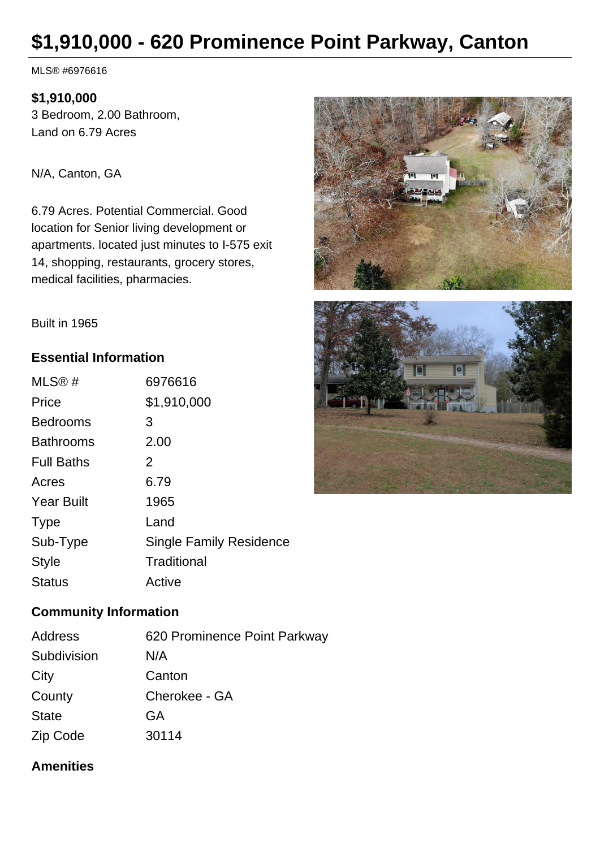# **\$1,910,000 - 620 Prominence Point Parkway, Canton**

MLS® #6976616

### **\$1,910,000**

3 Bedroom, 2.00 Bathroom, Land on 6.79 Acres

N/A, Canton, GA

6.79 Acres. Potential Commercial. Good location for Senior living development or apartments. located just minutes to I-575 exit 14, shopping, restaurants, grocery stores, medical facilities, pharmacies.





Built in 1965

## **Essential Information**

| MLS@#             | 6976616                        |
|-------------------|--------------------------------|
| Price             | \$1,910,000                    |
| <b>Bedrooms</b>   | 3                              |
| <b>Bathrooms</b>  | 2.00                           |
| <b>Full Baths</b> | 2                              |
| Acres             | 6.79                           |
| <b>Year Built</b> | 1965                           |
| <b>Type</b>       | Land                           |
| Sub-Type          | <b>Single Family Residence</b> |
| Style             | Traditional                    |
| Status            | Active                         |

### **Community Information**

| Address      | 620 Prominence Point Parkway |
|--------------|------------------------------|
| Subdivision  | N/A                          |
| City         | Canton                       |
| County       | Cherokee - GA                |
| <b>State</b> | GA                           |
| Zip Code     | 30114                        |

## **Amenities**